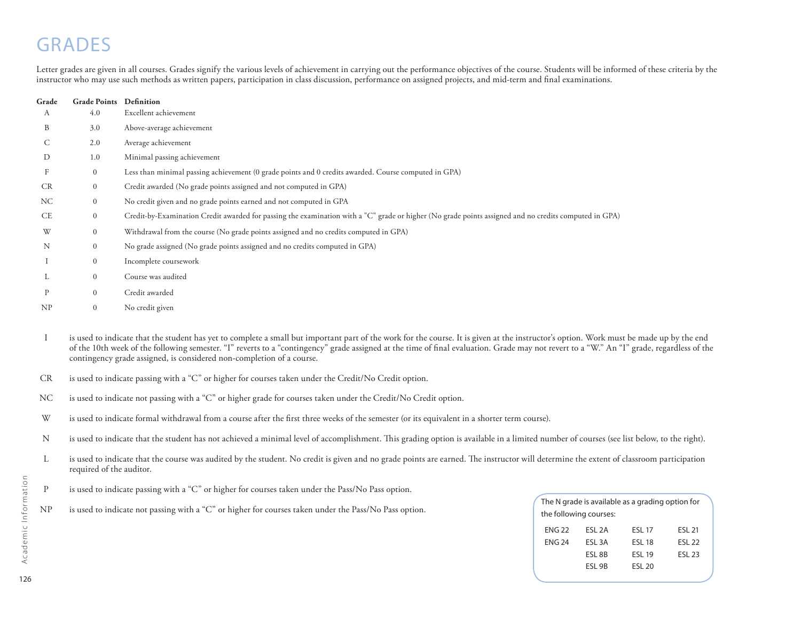# **GRADES**

Letter grades are given in all courses. Grades signify the various levels of achievement in carrying out the performance objectives of the course. Students will be informed of these criteria by the instructor who may use such methods as written papers, participation in class discussion, performance on assigned projects, and mid-term and final examinations.

| Grade     | <b>Grade Points</b> | Definition                                                                                                                                            |
|-----------|---------------------|-------------------------------------------------------------------------------------------------------------------------------------------------------|
| А         | 4.0                 | Excellent achievement                                                                                                                                 |
| B         | 3.0                 | Above-average achievement                                                                                                                             |
| C         | 2.0                 | Average achievement                                                                                                                                   |
| D         | 1.0                 | Minimal passing achievement                                                                                                                           |
| F         | $\boldsymbol{0}$    | Less than minimal passing achievement (0 grade points and 0 credits awarded. Course computed in GPA)                                                  |
| <b>CR</b> | $\boldsymbol{0}$    | Credit awarded (No grade points assigned and not computed in GPA)                                                                                     |
| NC        | $\mathbf{0}$        | No credit given and no grade points earned and not computed in GPA                                                                                    |
| <b>CE</b> | $\mathbf{0}$        | Credit-by-Examination Credit awarded for passing the examination with a "C" grade or higher (No grade points assigned and no credits computed in GPA) |
| W         | $\mathbf{0}$        | Withdrawal from the course (No grade points assigned and no credits computed in GPA)                                                                  |
| N         | $\mathbf{0}$        | No grade assigned (No grade points assigned and no credits computed in GPA)                                                                           |
|           | $\mathbf{0}$        | Incomplete coursework                                                                                                                                 |
| L         | $\mathbf{0}$        | Course was audited                                                                                                                                    |
| P         | $\mathbf{0}$        | Credit awarded                                                                                                                                        |
| NP        | $\overline{0}$      | No credit given                                                                                                                                       |

- is used to indicate that the student has yet to complete a small but important part of the work for the course. It is given at the instructor's option. Work must be made up by the end of the 10th week of the following semester. "I" reverts to a "contingency" grade assigned at the time of final evaluation. Grade may not revert to a "W." An "I" grade, regardless of the contingency grade assigned, is considered non-completion of a course. I
- is used to indicate passing with a "C" or higher for courses taken under the Credit/No Credit option. CR
- is used to indicate not passing with a "C" or higher grade for courses taken under the Credit/No Credit option. NC
- is used to indicate formal withdrawal from a course after the first three weeks of the semester (or its equivalent in a shorter term course). W
- is used to indicate that the student has not achieved a minimal level of accomplishment. This grading option is available in a limited number of courses (see list below, to the right). N
- is used to indicate that the course was audited by the student. No credit is given and no grade points are earned. The instructor will determine the extent of classroom participation required of the auditor.  $\mathbf{L}$
- is used to indicate passing with a "C" or higher for courses taken under the Pass/No Pass option. P
- NP is used to indicate not passing with a "C" or higher for courses taken under the Pass/No Pass option. The New the following courses: